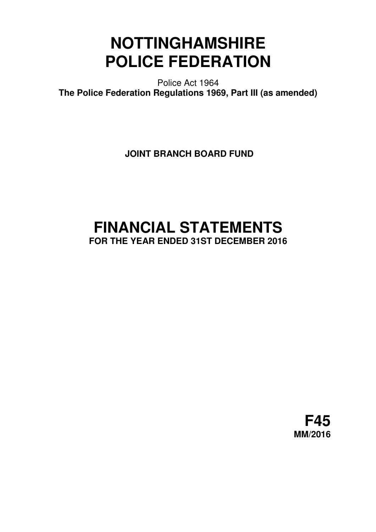# **NOTTINGHAMSHIRE POLICE FEDERATION**

Police Act 1964 **The Police Federation Regulations 1969, Part III (as amended)** 

 **JOINT BRANCH BOARD FUND** 

## **FINANCIAL STATEMENTS FOR THE YEAR ENDED 31ST DECEMBER 2016**

**F45 MM/2016**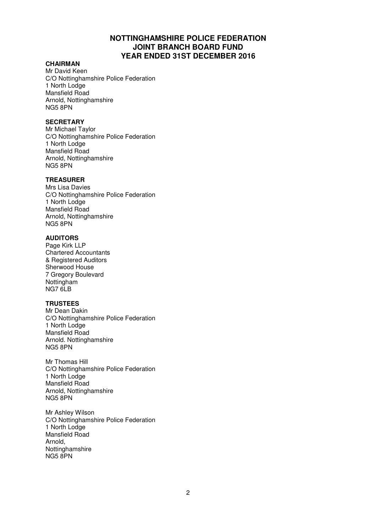## **NOTTINGHAMSHIRE POLICE FEDERATION JOINT BRANCH BOARD FUND YEAR ENDED 31ST DECEMBER 2016**

#### **CHAIRMAN**

Mr David Keen C/O Nottinghamshire Police Federation 1 North Lodge Mansfield Road Arnold, Nottinghamshire NG5 8PN

#### **SECRETARY**

Mr Michael Taylor C/O Nottinghamshire Police Federation 1 North Lodge Mansfield Road Arnold, Nottinghamshire NG5 8PN

#### **TREASURER**

Mrs Lisa Davies C/O Nottinghamshire Police Federation 1 North Lodge Mansfield Road Arnold, Nottinghamshire NG5 8PN

#### **AUDITORS**

Page Kirk LLP Chartered Accountants & Registered Auditors Sherwood House 7 Gregory Boulevard Nottingham NG7 6LB

#### **TRUSTEES**

Mr Dean Dakin C/O Nottinghamshire Police Federation 1 North Lodge Mansfield Road Arnold. Nottinghamshire NG5 8PN

Mr Thomas Hill C/O Nottinghamshire Police Federation 1 North Lodge Mansfield Road Arnold, Nottinghamshire NG5 8PN

Mr Ashley Wilson C/O Nottinghamshire Police Federation 1 North Lodge Mansfield Road Arnold, **Nottinghamshire** NG5 8PN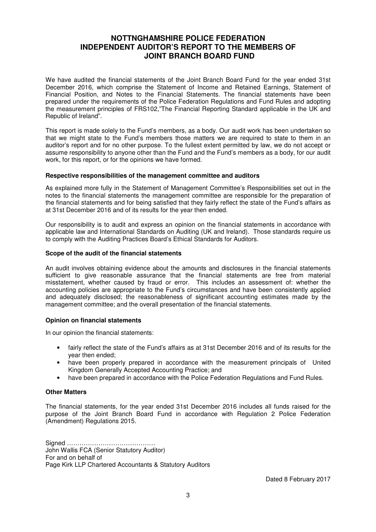## **NOTTNGHAMSHIRE POLICE FEDERATION INDEPENDENT AUDITOR'S REPORT TO THE MEMBERS OF JOINT BRANCH BOARD FUND**

We have audited the financial statements of the Joint Branch Board Fund for the year ended 31st December 2016, which comprise the Statement of Income and Retained Earnings, Statement of Financial Position, and Notes to the Financial Statements. The financial statements have been prepared under the requirements of the Police Federation Regulations and Fund Rules and adopting the measurement principles of FRS102,"The Financial Reporting Standard applicable in the UK and Republic of Ireland".

This report is made solely to the Fund's members, as a body. Our audit work has been undertaken so that we might state to the Fund's members those matters we are required to state to them in an auditor's report and for no other purpose. To the fullest extent permitted by law, we do not accept or assume responsibility to anyone other than the Fund and the Fund's members as a body, for our audit work, for this report, or for the opinions we have formed.

#### **Respective responsibilities of the management committee and auditors**

As explained more fully in the Statement of Management Committee's Responsibilities set out in the notes to the financial statements the management committee are responsible for the preparation of the financial statements and for being satisfied that they fairly reflect the state of the Fund's affairs as at 31st December 2016 and of its results for the year then ended.

Our responsibility is to audit and express an opinion on the financial statements in accordance with applicable law and International Standards on Auditing (UK and Ireland). Those standards require us to comply with the Auditing Practices Board's Ethical Standards for Auditors.

#### **Scope of the audit of the financial statements**

An audit involves obtaining evidence about the amounts and disclosures in the financial statements sufficient to give reasonable assurance that the financial statements are free from material misstatement, whether caused by fraud or error. This includes an assessment of: whether the accounting policies are appropriate to the Fund's circumstances and have been consistently applied and adequately disclosed; the reasonableness of significant accounting estimates made by the management committee; and the overall presentation of the financial statements.

#### **Opinion on financial statements**

In our opinion the financial statements:

- fairly reflect the state of the Fund's affairs as at 31st December 2016 and of its results for the year then ended;
- have been properly prepared in accordance with the measurement principals of United Kingdom Generally Accepted Accounting Practice; and
- have been prepared in accordance with the Police Federation Regulations and Fund Rules.

#### **Other Matters**

The financial statements, for the year ended 31st December 2016 includes all funds raised for the purpose of the Joint Branch Board Fund in accordance with Regulation 2 Police Federation (Amendment) Regulations 2015.

Signed …………………………………… John Wallis FCA (Senior Statutory Auditor) For and on behalf of Page Kirk LLP Chartered Accountants & Statutory Auditors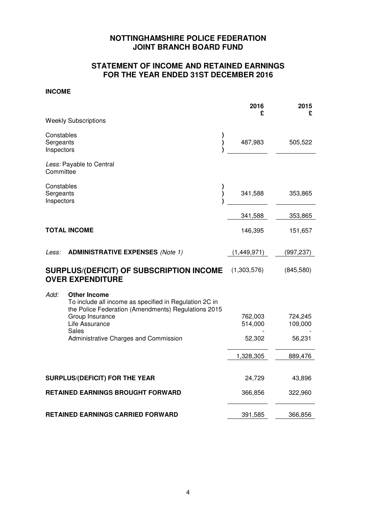## **STATEMENT OF INCOME AND RETAINED EARNINGS FOR THE YEAR ENDED 31ST DECEMBER 2016**

#### **INCOME**

|                                       |                                                                                                                                      | 2016<br>£          | 2015<br>£          |
|---------------------------------------|--------------------------------------------------------------------------------------------------------------------------------------|--------------------|--------------------|
|                                       | <b>Weekly Subscriptions</b>                                                                                                          |                    |                    |
| Constables<br>Sergeants<br>Inspectors |                                                                                                                                      | 487,983            | 505,522            |
| Committee                             | Less: Payable to Central                                                                                                             |                    |                    |
| Constables<br>Sergeants<br>Inspectors |                                                                                                                                      | 341,588            | 353,865            |
|                                       |                                                                                                                                      | 341,588            | 353,865            |
|                                       | <b>TOTAL INCOME</b>                                                                                                                  | 146,395            | 151,657            |
| Less:                                 | <b>ADMINISTRATIVE EXPENSES (Note 1)</b>                                                                                              | (1,449,971)        | (997, 237)         |
|                                       | <b>SURPLUS/(DEFICIT) OF SUBSCRIPTION INCOME</b><br><b>OVER EXPENDITURE</b>                                                           | (1,303,576)        | (845,580)          |
| Add:                                  | <b>Other Income</b><br>To include all income as specified in Regulation 2C in<br>the Police Federation (Amendments) Regulations 2015 |                    |                    |
|                                       | Group Insurance<br>Life Assurance<br>Sales                                                                                           | 762,003<br>514,000 | 724,245<br>109,000 |
|                                       | Administrative Charges and Commission                                                                                                | 52,302             | 56,231             |
|                                       |                                                                                                                                      | 1,328,305          | 889,476            |
|                                       | SURPLUS/(DEFICIT) FOR THE YEAR                                                                                                       | 24,729             | 43,896             |
|                                       | <b>RETAINED EARNINGS BROUGHT FORWARD</b>                                                                                             | 366,856            | 322,960            |
|                                       | <b>RETAINED EARNINGS CARRIED FORWARD</b>                                                                                             | 391,585            | 366,856            |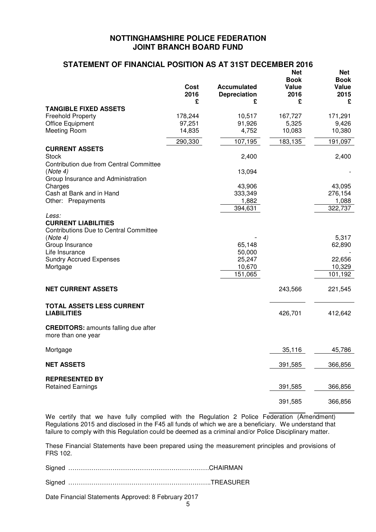## **STATEMENT OF FINANCIAL POSITION AS AT 31ST DECEMBER 2016**

|                                                                             |              |                                           | <b>Net</b><br><b>Book</b> | <b>Net</b><br><b>Book</b> |
|-----------------------------------------------------------------------------|--------------|-------------------------------------------|---------------------------|---------------------------|
|                                                                             | Cost<br>2016 | <b>Accumulated</b><br><b>Depreciation</b> | Value<br>2016             | Value<br>2015             |
|                                                                             | £            | £                                         | £                         | £                         |
| <b>TANGIBLE FIXED ASSETS</b>                                                |              |                                           |                           |                           |
| <b>Freehold Property</b>                                                    | 178,244      | 10,517                                    | 167,727                   | 171,291                   |
| <b>Office Equipment</b>                                                     | 97,251       | 91,926                                    | 5,325                     | 9,426                     |
| <b>Meeting Room</b>                                                         | 14,835       | 4,752                                     | 10,083                    | 10,380                    |
|                                                                             | 290,330      | 107,195                                   | 183,135                   | 191,097                   |
| <b>CURRENT ASSETS</b><br><b>Stock</b>                                       |              | 2,400                                     |                           | 2,400                     |
| Contribution due from Central Committee                                     |              |                                           |                           |                           |
| (Note 4)                                                                    |              | 13,094                                    |                           |                           |
| Group Insurance and Administration                                          |              |                                           |                           |                           |
| Charges                                                                     |              | 43,906                                    |                           | 43,095                    |
| Cash at Bank and in Hand                                                    |              | 333,349                                   |                           | 276,154                   |
| Other: Prepayments                                                          |              | 1,882<br>394,631                          |                           | 1,088                     |
| Less:                                                                       |              |                                           |                           | 322,737                   |
| <b>CURRENT LIABILITIES</b><br><b>Contributions Due to Central Committee</b> |              |                                           |                           |                           |
| (Note 4)                                                                    |              |                                           |                           | 5,317                     |
| Group Insurance                                                             |              | 65,148                                    |                           | 62,890                    |
| Life Insurance                                                              |              | 50,000                                    |                           |                           |
| <b>Sundry Accrued Expenses</b>                                              |              | 25,247                                    |                           | 22,656                    |
| Mortgage                                                                    |              | 10,670<br>151,065                         |                           | 10,329<br>101,192         |
|                                                                             |              |                                           |                           |                           |
| <b>NET CURRENT ASSETS</b>                                                   |              |                                           | 243,566                   | 221,545                   |
| TOTAL ASSETS LESS CURRENT                                                   |              |                                           |                           |                           |
| <b>LIABILITIES</b>                                                          |              |                                           | 426,701                   | 412,642                   |
| <b>CREDITORS:</b> amounts falling due after<br>more than one year           |              |                                           |                           |                           |
| Mortgage                                                                    |              |                                           | 35,116                    | 45,786                    |
| <b>NET ASSETS</b>                                                           |              |                                           | 391,585                   | 366,856                   |
| <b>REPRESENTED BY</b>                                                       |              |                                           |                           |                           |
| <b>Retained Earnings</b>                                                    |              |                                           | 391,585                   | 366,856                   |
|                                                                             |              |                                           | 391,585                   | 366,856                   |
|                                                                             |              |                                           |                           |                           |

We certify that we have fully complied with the Regulation 2 Police Federation (Amendment) Regulations 2015 and disclosed in the F45 all funds of which we are a beneficiary. We understand that failure to comply with this Regulation could be deemed as a criminal and/or Police Disciplinary matter.

These Financial Statements have been prepared using the measurement principles and provisions of FRS 102.

|--|--|--|

Signed …………………………………………………………..TREASURER

Date Financial Statements Approved: 8 February 2017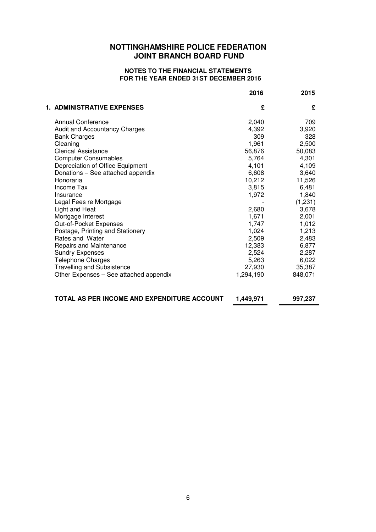#### **NOTES TO THE FINANCIAL STATEMENTS FOR THE YEAR ENDED 31ST DECEMBER 2016**

|                                             | 2016      | 2015    |
|---------------------------------------------|-----------|---------|
| <b>1. ADMINISTRATIVE EXPENSES</b>           | £         | £       |
| <b>Annual Conference</b>                    | 2,040     | 709     |
| <b>Audit and Accountancy Charges</b>        | 4,392     | 3,920   |
| <b>Bank Charges</b>                         | 309       | 328     |
| Cleaning                                    | 1,961     | 2,500   |
| <b>Clerical Assistance</b>                  | 56,876    | 50,083  |
| <b>Computer Consumables</b>                 | 5,764     | 4,301   |
| Depreciation of Office Equipment            | 4,101     | 4,109   |
| Donations - See attached appendix           | 6,608     | 3,640   |
| Honoraria                                   | 10,212    | 11,526  |
| Income Tax                                  | 3,815     | 6,481   |
| Insurance                                   | 1,972     | 1,840   |
| Legal Fees re Mortgage                      |           | (1,231) |
| Light and Heat                              | 2,680     | 3,678   |
| Mortgage Interest                           | 1,671     | 2,001   |
| Out-of-Pocket Expenses                      | 1,747     | 1,012   |
| Postage, Printing and Stationery            | 1,024     | 1,213   |
| Rates and Water                             | 2,509     | 2,483   |
| Repairs and Maintenance                     | 12,383    | 6,877   |
| <b>Sundry Expenses</b>                      | 2,524     | 2,287   |
| <b>Telephone Charges</b>                    | 5,263     | 6,022   |
| <b>Travelling and Subsistence</b>           | 27,930    | 35,387  |
| Other Expenses - See attached appendix      | 1,294,190 | 848,071 |
| TOTAL AS PER INCOME AND EXPENDITURE ACCOUNT | 1,449,971 | 997,237 |
|                                             |           |         |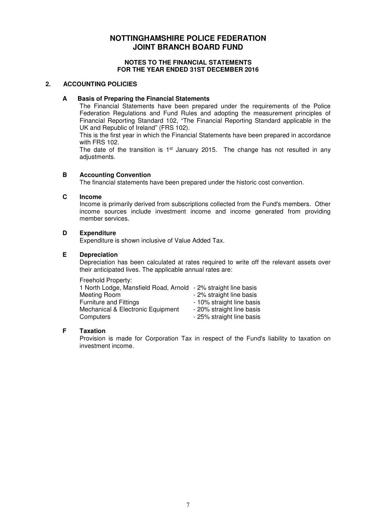#### **NOTES TO THE FINANCIAL STATEMENTS FOR THE YEAR ENDED 31ST DECEMBER 2016**

#### **2. ACCOUNTING POLICIES**

#### **A Basis of Preparing the Financial Statements**

 The Financial Statements have been prepared under the requirements of the Police Federation Regulations and Fund Rules and adopting the measurement principles of Financial Reporting Standard 102, "The Financial Reporting Standard applicable in the UK and Republic of Ireland" (FRS 102).

 This is the first year in which the Financial Statements have been prepared in accordance with FRS 102.

The date of the transition is  $1<sup>st</sup>$  January 2015. The change has not resulted in any adjustments.

#### **B Accounting Convention**

The financial statements have been prepared under the historic cost convention.

#### **C Income**

 Income is primarily derived from subscriptions collected from the Fund's members. Other income sources include investment income and income generated from providing member services.

#### **D Expenditure**

Expenditure is shown inclusive of Value Added Tax.

#### **E Depreciation**

 Depreciation has been calculated at rates required to write off the relevant assets over their anticipated lives. The applicable annual rates are:

| Freehold Property:                                             |                           |
|----------------------------------------------------------------|---------------------------|
| 1 North Lodge, Mansfield Road, Arnold - 2% straight line basis |                           |
| Meeting Room                                                   | - 2% straight line basis  |
| <b>Furniture and Fittings</b>                                  | - 10% straight line basis |
| Mechanical & Electronic Equipment                              | - 20% straight line basis |
| Computers                                                      | - 25% straight line basis |

#### **F Taxation**

 Provision is made for Corporation Tax in respect of the Fund's liability to taxation on investment income.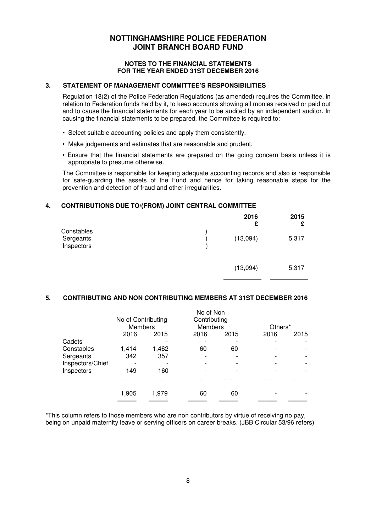#### **NOTES TO THE FINANCIAL STATEMENTS FOR THE YEAR ENDED 31ST DECEMBER 2016**

#### **3. STATEMENT OF MANAGEMENT COMMITTEE'S RESPONSIBILITIES**

 Regulation 18(2) of the Police Federation Regulations (as amended) requires the Committee, in relation to Federation funds held by it, to keep accounts showing all monies received or paid out and to cause the financial statements for each year to be audited by an independent auditor. In causing the financial statements to be prepared, the Committee is required to:

- Select suitable accounting policies and apply them consistently.
- Make judgements and estimates that are reasonable and prudent.
- Ensure that the financial statements are prepared on the going concern basis unless it is appropriate to presume otherwise.

 The Committee is responsible for keeping adequate accounting records and also is responsible for safe-guarding the assets of the Fund and hence for taking reasonable steps for the prevention and detection of fraud and other irregularities.

#### **4. CONTRIBUTIONS DUE TO/(FROM) JOINT CENTRAL COMMITTEE**

|                                       | 2016<br>£ | 2015<br>£ |
|---------------------------------------|-----------|-----------|
| Constables<br>Sergeants<br>Inspectors | (13,094)  | 5,317     |
|                                       | (13,094)  | 5,317     |

#### **5. CONTRIBUTING AND NON CONTRIBUTING MEMBERS AT 31ST DECEMBER 2016**

|                  | No of Contributing |       | No of Non<br>Contributing |      |         |      |
|------------------|--------------------|-------|---------------------------|------|---------|------|
|                  | <b>Members</b>     |       | <b>Members</b>            |      | Others* |      |
|                  | 2016               | 2015  | 2016                      | 2015 | 2016    | 2015 |
| Cadets           |                    |       |                           |      |         |      |
| Constables       | 1,414              | 1,462 | 60                        | 60   |         |      |
| Sergeants        | 342                | 357   |                           |      |         |      |
| Inspectors/Chief |                    |       |                           |      |         |      |
| Inspectors       | 149                | 160   |                           |      |         |      |
|                  |                    |       |                           |      |         |      |
|                  | 1,905              | 1,979 | 60                        | 60   |         |      |
|                  |                    |       |                           |      |         |      |

\*This column refers to those members who are non contributors by virtue of receiving no pay, being on unpaid maternity leave or serving officers on career breaks. (JBB Circular 53/96 refers)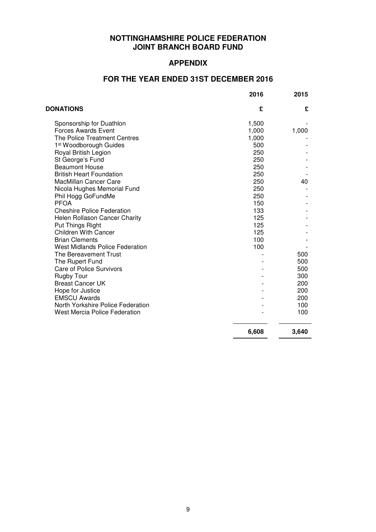## **APPENDIX**

## **FOR THE YEAR ENDED 31ST DECEMBER 2016**

|                                        | 2016  | 2015  |
|----------------------------------------|-------|-------|
| DONATIONS                              | £     | £     |
| Sponsorship for Duathlon               | 1,500 |       |
| <b>Forces Awards Event</b>             | 1,000 | 1,000 |
| The Police Treatment Centres           | 1,000 |       |
| 1 <sup>st</sup> Woodborough Guides     | 500   |       |
| Royal British Legion                   | 250   |       |
| St George's Fund                       | 250   |       |
| <b>Beaumont House</b>                  | 250   |       |
| <b>British Heart Foundation</b>        | 250   |       |
| MacMillan Cancer Care                  | 250   | 40    |
| Nicola Hughes Memorial Fund            | 250   |       |
| Phil Hogg GoFundMe                     | 250   |       |
| <b>PFOA</b>                            | 150   |       |
| <b>Cheshire Police Federation</b>      | 133   |       |
| Helen Rollason Cancer Charity          | 125   |       |
| Put Things Right                       | 125   |       |
| <b>Children With Cancer</b>            | 125   |       |
| <b>Brian Clements</b>                  | 100   |       |
| <b>West Midlands Police Federation</b> | 100   |       |
| The Bereavement Trust                  |       | 500   |
| The Rupert Fund                        |       | 500   |
| <b>Care of Police Survivors</b>        |       | 500   |
| <b>Rugby Tour</b>                      |       | 300   |
| <b>Breast Cancer UK</b>                |       | 200   |
| Hope for Justice                       |       | 200   |
| <b>EMSCU Awards</b>                    |       | 200   |
| North Yorkshire Police Federation      |       | 100   |
| <b>West Mercia Police Federation</b>   |       | 100   |
|                                        | 6,608 | 3,640 |